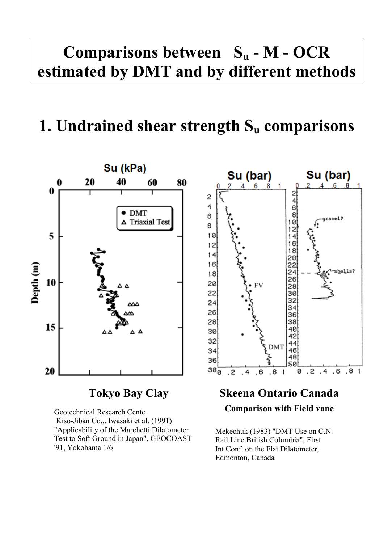# **Comparisons between Su - M - OCR estimated by DMT and by different methods**

## **1. Undrained shear strength Su comparisons**



Geotechnical Research Cente Kiso-Jiban Co.,. Iwasaki et al. (1991) "Applicability of the Marchetti Dilatometer Test to Soft Ground in Japan", GEOCOAST '91, Yokohama 1/6



#### **Skeena Ontario Canada**

#### **Comparison with Field vane**

Mekechuk (1983) "DMT Use on C.N. Rail Line British Columbia", First Int.Conf. on the Flat Dilatometer, Edmonton, Canada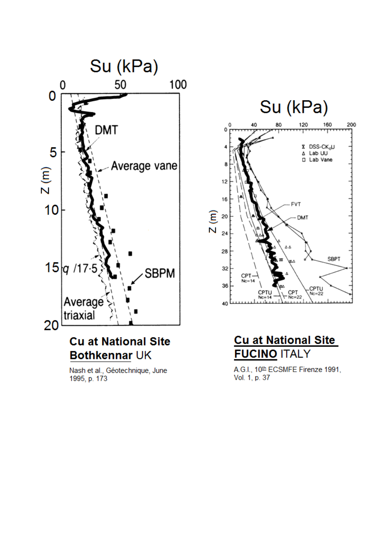

Nash et al., Géotechnique, June 1995, p. 173





A.G.I., 10th ECSMFE Firenze 1991, Vol. 1, p. 37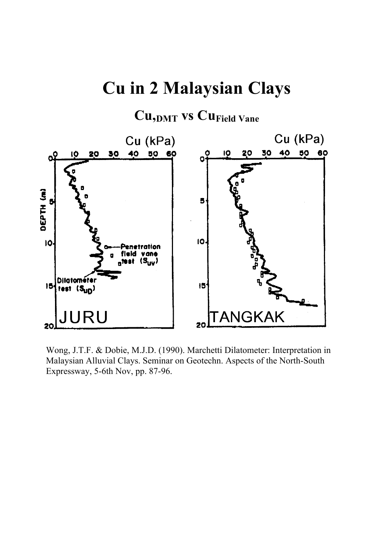## **Cu in 2 Malaysian Clays**

#### **Cu,DMT vs CuField Vane**



Wong, J.T.F. & Dobie, M.J.D. (1990). Marchetti Dilatometer: Interpretation in Malaysian Alluvial Clays. Seminar on Geotechn. Aspects of the North-South Expressway, 5-6th Nov, pp. 87-96.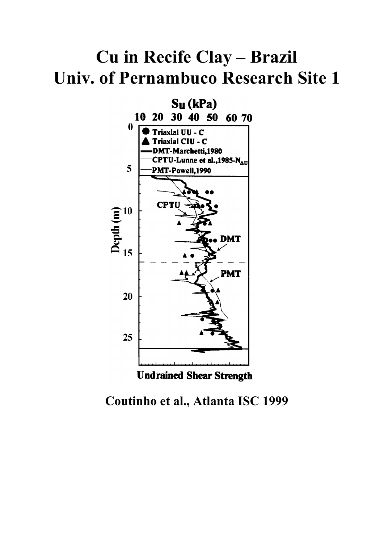# Cu in Recife Clay - Brazil **Univ. of Pernambuco Research Site 1**



#### Coutinho et al., Atlanta ISC 1999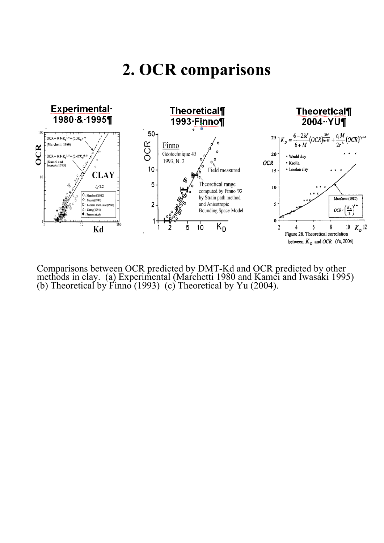### **2. OCR comparisons**



Comparisons between OCR predicted by DMT-Kd and OCR predicted by other methods in clay. (a) Experimental (Marchetti 1980 and Kamei and Iwasaki 1995) (b) Theoretical by Finno (1993) (c) Theoretical by Yu (2004).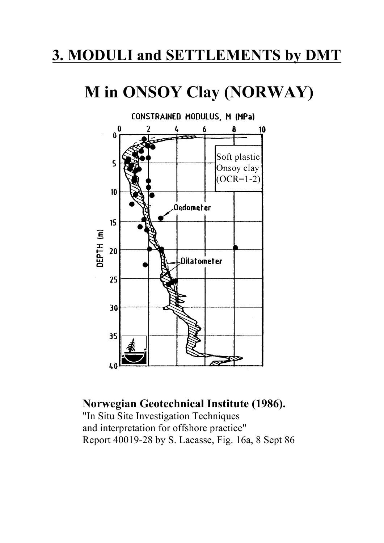#### **3. MODULI and SETTLEMENTS by DMT**

# **M in ONSOY Clay (NORWAY)**



#### **Norwegian Geotechnical Institute (1986).**

"In Situ Site Investigation Techniques and interpretation for offshore practice" Report 40019-28 by S. Lacasse, Fig. 16a, 8 Sept 86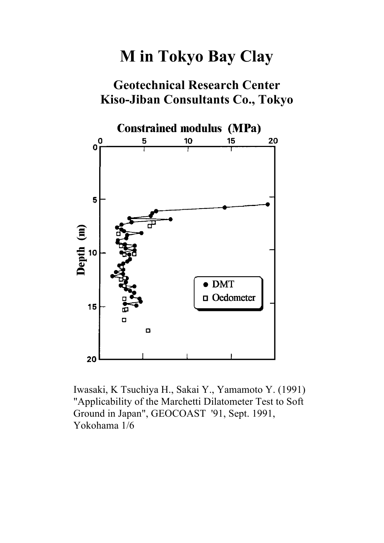## **M in Tokyo Bay Clay**

#### **Geotechnical Research Center Kiso-Jiban Consultants Co., Tokyo**



Iwasaki, K Tsuchiya H., Sakai Y., Yamamoto Y. (1991) "Applicability of the Marchetti Dilatometer Test to Soft Ground in Japan", GEOCOAST '91, Sept. 1991, Yokohama 1/6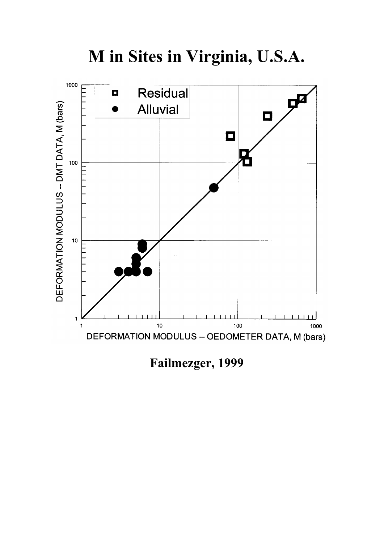

**M in Sites in Virginia, U.S.A.**

**Failmezger, 1999**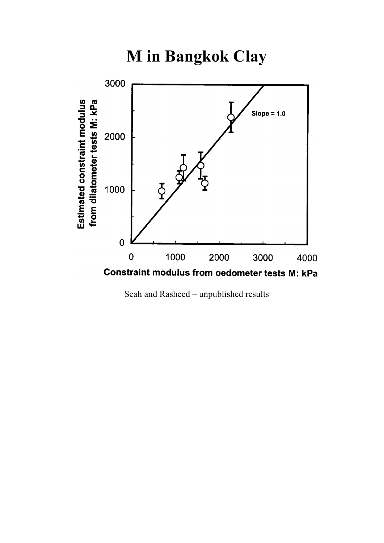**M** in Bangkok Clay



Seah and Rasheed - unpublished results